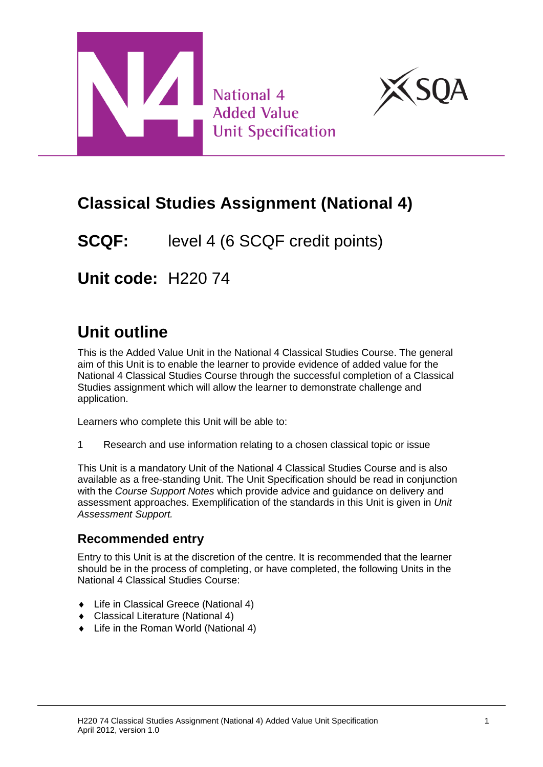



# **Classical Studies Assignment (National 4)**

**SCQF:** level 4 (6 SCQF credit points)

**Unit code:** H220 74

# **Unit outline**

This is the Added Value Unit in the National 4 Classical Studies Course. The general aim of this Unit is to enable the learner to provide evidence of added value for the National 4 Classical Studies Course through the successful completion of a Classical Studies assignment which will allow the learner to demonstrate challenge and application.

Learners who complete this Unit will be able to:

1 Research and use information relating to a chosen classical topic or issue

This Unit is a mandatory Unit of the National 4 Classical Studies Course and is also available as a free-standing Unit. The Unit Specification should be read in conjunction with the *Course Support Notes* which provide advice and guidance on delivery and assessment approaches. Exemplification of the standards in this Unit is given in *Unit Assessment Support.*

### **Recommended entry**

Entry to this Unit is at the discretion of the centre. It is recommended that the learner should be in the process of completing, or have completed, the following Units in the National 4 Classical Studies Course:

- ◆ Life in Classical Greece (National 4)
- ◆ Classical Literature (National 4)
- ◆ Life in the Roman World (National 4)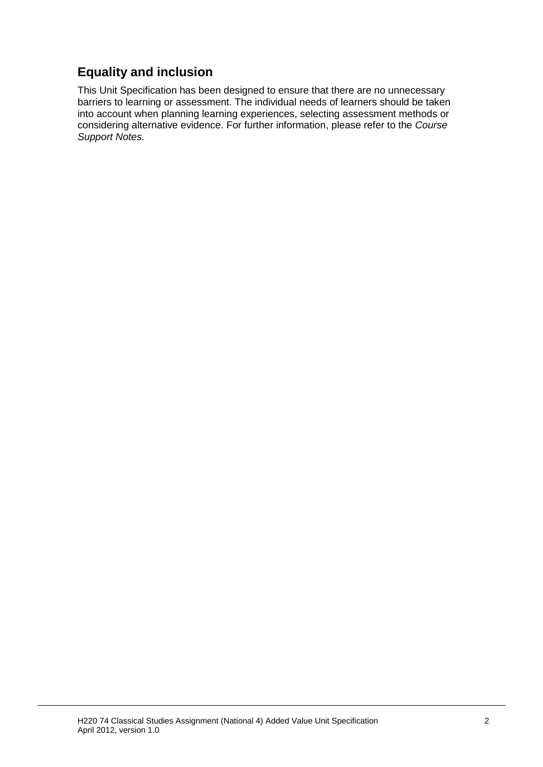## **Equality and inclusion**

This Unit Specification has been designed to ensure that there are no unnecessary barriers to learning or assessment. The individual needs of learners should be taken into account when planning learning experiences, selecting assessment methods or considering alternative evidence. For further information, please refer to the *Course Support Notes.*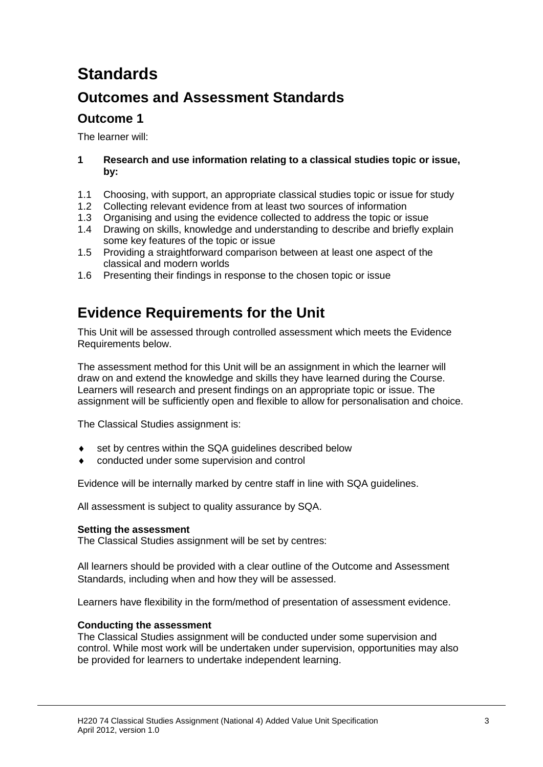# **Standards**

## **Outcomes and Assessment Standards**

### **Outcome 1**

The learner will:

#### **1 Research and use information relating to a classical studies topic or issue, by:**

- 1.1 Choosing, with support, an appropriate classical studies topic or issue for study
- 1.2 Collecting relevant evidence from at least two sources of information
- 1.3 Organising and using the evidence collected to address the topic or issue
- 1.4 Drawing on skills, knowledge and understanding to describe and briefly explain some key features of the topic or issue
- 1.5 Providing a straightforward comparison between at least one aspect of the classical and modern worlds
- 1.6 Presenting their findings in response to the chosen topic or issue

## **Evidence Requirements for the Unit**

This Unit will be assessed through controlled assessment which meets the Evidence Requirements below.

The assessment method for this Unit will be an assignment in which the learner will draw on and extend the knowledge and skills they have learned during the Course. Learners will research and present findings on an appropriate topic or issue. The assignment will be sufficiently open and flexible to allow for personalisation and choice.

The Classical Studies assignment is:

- set by centres within the SQA guidelines described below
- conducted under some supervision and control

Evidence will be internally marked by centre staff in line with SQA guidelines.

All assessment is subject to quality assurance by SQA.

#### **Setting the assessment**

The Classical Studies assignment will be set by centres:

All learners should be provided with a clear outline of the Outcome and Assessment Standards, including when and how they will be assessed.

Learners have flexibility in the form/method of presentation of assessment evidence.

#### **Conducting the assessment**

The Classical Studies assignment will be conducted under some supervision and control. While most work will be undertaken under supervision, opportunities may also be provided for learners to undertake independent learning.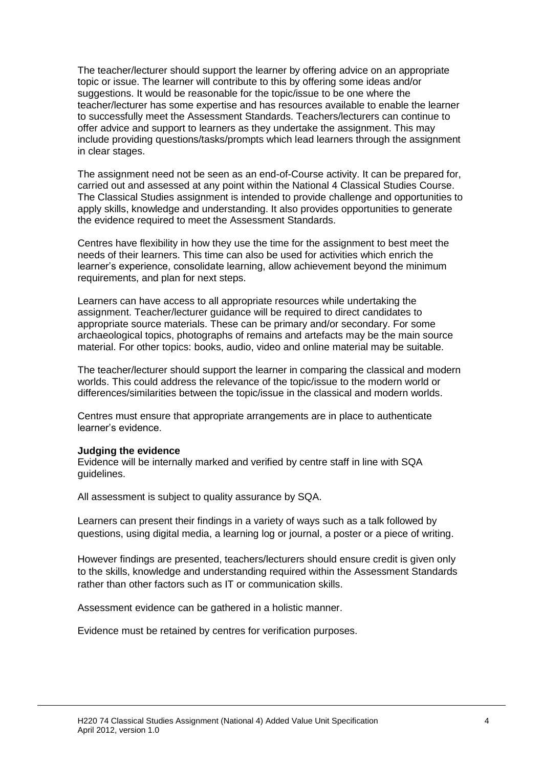The teacher/lecturer should support the learner by offering advice on an appropriate topic or issue. The learner will contribute to this by offering some ideas and/or suggestions. It would be reasonable for the topic/issue to be one where the teacher/lecturer has some expertise and has resources available to enable the learner to successfully meet the Assessment Standards. Teachers/lecturers can continue to offer advice and support to learners as they undertake the assignment. This may include providing questions/tasks/prompts which lead learners through the assignment in clear stages.

The assignment need not be seen as an end-of-Course activity. It can be prepared for, carried out and assessed at any point within the National 4 Classical Studies Course. The Classical Studies assignment is intended to provide challenge and opportunities to apply skills, knowledge and understanding. It also provides opportunities to generate the evidence required to meet the Assessment Standards.

Centres have flexibility in how they use the time for the assignment to best meet the needs of their learners. This time can also be used for activities which enrich the learner's experience, consolidate learning, allow achievement beyond the minimum requirements, and plan for next steps.

Learners can have access to all appropriate resources while undertaking the assignment. Teacher/lecturer guidance will be required to direct candidates to appropriate source materials. These can be primary and/or secondary. For some archaeological topics, photographs of remains and artefacts may be the main source material. For other topics: books, audio, video and online material may be suitable.

The teacher/lecturer should support the learner in comparing the classical and modern worlds. This could address the relevance of the topic/issue to the modern world or differences/similarities between the topic/issue in the classical and modern worlds.

Centres must ensure that appropriate arrangements are in place to authenticate learner's evidence.

#### **Judging the evidence**

Evidence will be internally marked and verified by centre staff in line with SQA guidelines.

All assessment is subject to quality assurance by SQA.

Learners can present their findings in a variety of ways such as a talk followed by questions, using digital media, a learning log or journal, a poster or a piece of writing.

However findings are presented, teachers/lecturers should ensure credit is given only to the skills, knowledge and understanding required within the Assessment Standards rather than other factors such as IT or communication skills.

Assessment evidence can be gathered in a holistic manner.

Evidence must be retained by centres for verification purposes.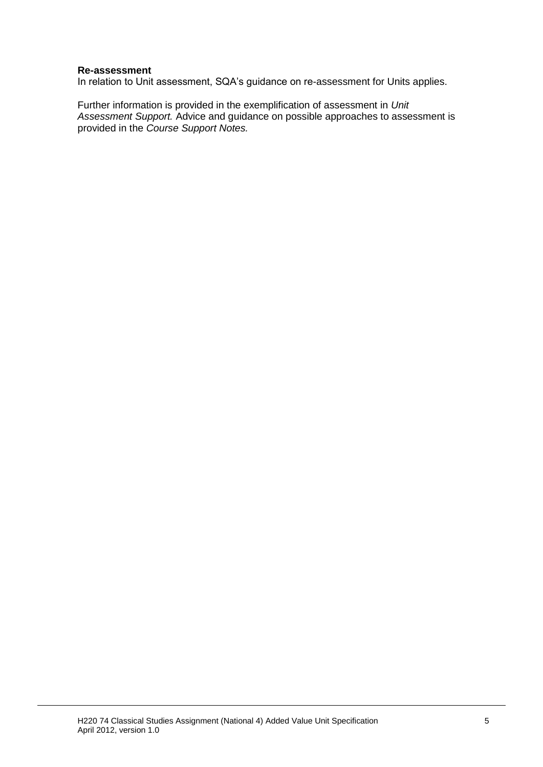#### **Re-assessment**

In relation to Unit assessment, SQA's guidance on re-assessment for Units applies.

Further information is provided in the exemplification of assessment in *Unit Assessment Support.* Advice and guidance on possible approaches to assessment is provided in the *Course Support Notes.*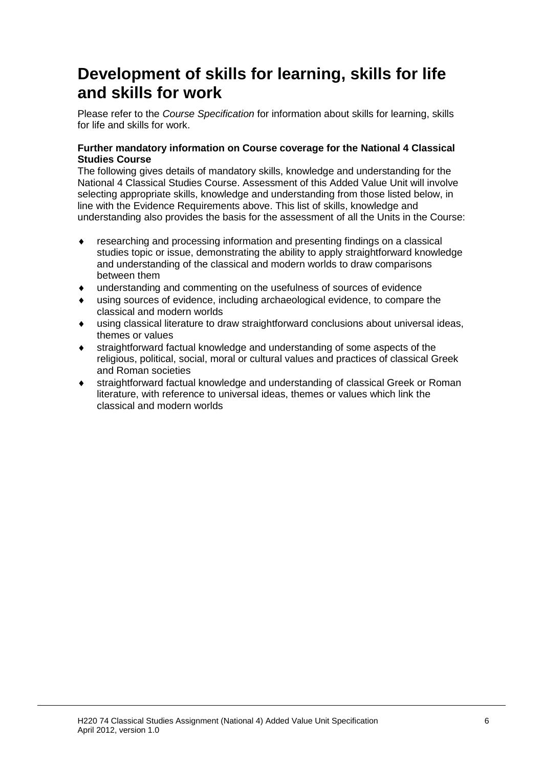# **Development of skills for learning, skills for life and skills for work**

Please refer to the *Course Specification* for information about skills for learning, skills for life and skills for work.

#### **Further mandatory information on Course coverage for the National 4 Classical Studies Course**

The following gives details of mandatory skills, knowledge and understanding for the National 4 Classical Studies Course. Assessment of this Added Value Unit will involve selecting appropriate skills, knowledge and understanding from those listed below, in line with the Evidence Requirements above. This list of skills, knowledge and understanding also provides the basis for the assessment of all the Units in the Course:

- researching and processing information and presenting findings on a classical studies topic or issue, demonstrating the ability to apply straightforward knowledge and understanding of the classical and modern worlds to draw comparisons between them
- understanding and commenting on the usefulness of sources of evidence
- using sources of evidence, including archaeological evidence, to compare the classical and modern worlds
- using classical literature to draw straightforward conclusions about universal ideas, themes or values
- straightforward factual knowledge and understanding of some aspects of the religious, political, social, moral or cultural values and practices of classical Greek and Roman societies
- straightforward factual knowledge and understanding of classical Greek or Roman literature, with reference to universal ideas, themes or values which link the classical and modern worlds